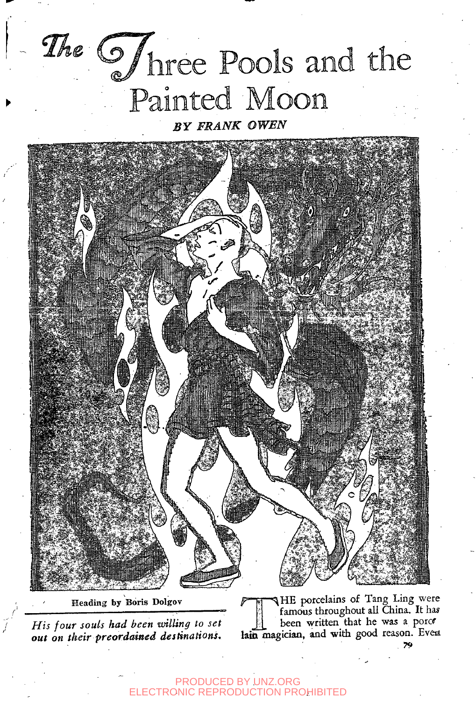# The Three Pools and the Painted Moon *BY FRANK OWEN*



*His four souls had been willing to set out on their preordained destinations.* 

*AHE porcelains of Tang Ling were* famous throughout all China. It has been written that he was a porce lain magician, and with good reason. Even **79** 

PRODUCED BY UNZ.ORG ELECTRONIC REPRODUCTION PROHIBITED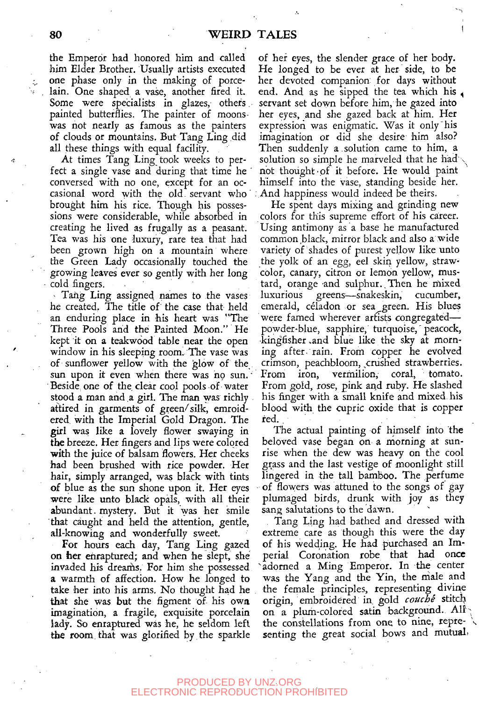the Emperor had honored him and called him Elder Brother. Usually artists executed one phase only in the making of porcelain. One shaped a vase, another fired it. Some were specialists in glazes, others, painted butterflies. The painter of moonswas not nearly as famous as the painters of clouds or mountains. But Tang Ling did all these things with equal facility.

At times Tang Ling took weeks to perfect a single vase and during that time he ' conversed with no one, except for an occasional word with the old. servant who' brought him his rice. Though his possessions were considerable, while absorbed in creating he lived as frugally as a peasant. Tea was his one luxury, rare tea that had been grown high on a mountain where the Green Lady occasionally touched the growing leaves ever so gently with her long cold fingers.

- Tang Ling assigned names to the vases he created, The title of the case that held an enduring place in his heart was "The Three Pools and the Painted Moon." He kept it on a teakwood table near the open window in his sleeping room. The vase was of sunflower yellow with the *'glow* of the sun upon it even when there was no sun. Beside one of the clear cool pools of water stood a man and a girl. The man was richly . attired in garments of green/silk, emroidered with the Imperial Gold Dragon. The girl was like a lovely flower swaying in the breeze. Her fingers and lips were colored with the juice of balsam flowers. Her cheeks had been brushed with rice powder. Her hair, simply arranged, was black with tints of blue as the sun shone upon it. Her eyes were like unto black opals, with all their abundant mystery. But it was her smile that caught and held the attention, gentle, ail-knowing and wonderfully sweet.

For hours each day, Tang Ling gazed on her enraptured; and when he slept, she invaded his dreams. For him she possessed a warmth of affection. How he longed to take her into his arms. No thought had he that she was but the figment of his owa imagination, a fragile, exquisite porcelain lady. So enraptured was he, he seldom left the room, that was glorified by.the sparkle

of her eyes, the slender grace of her body. He longed to be ever at her side, to be her devoted companion: for days without end. And as he sipped the tea which his servant set down before him, he gazed into her eyes, and she gazed back at him. Her expression was enigmatic. Was it only "his imagination or did she desire him also? Then suddenly a solution came to him, a solution so simple he marveled that he had not thought of it before. He would paint himself into the vase, standing beside her. . And happiness would indeed be theirs.

He spent days mixing and grinding new colors for this supreme effort of his career. Using antimony as a base he manufactured common,black, mirror black and also a wide variety of shades of purest yellow like unto the yolk of an egg, eel skin yellow, strawcolor, canary, citron or lemon yellow, mustard, orange and sulphur. Then he mixed luxurious greens^—snakeskin, cucumber, emerald, céladon or sea green. His blues were famed wherever artists congregated powder-blue, sapphire, turquoise,' peacock, •kingfisher .and blue like the sky at morning after, rain. From copper he evolved crimson, peachbloom, crushed strawberries. From iron, vermilion, coral, tomato. From gold, rose, pink and ruby. He slashed his finger with a small knife and mixed his blood with the cupric oxide that is copper red. .

The actual painting of himself into the beloved vase began on a morning at sunrise when the dew was heavy on the cool grass and the last vestige of moonlight still lingered in the tall bamboo. The perfume of flowers was attuned to the songs of gay plumaged birds, drunk with joy as they sang salutations to the dawn.

Tang Ling had bathed and dressed with extreme care as though this were the day of his wedd:ing. He had purchased an Imperial Coronation robe that had once 'adorned a Ming Emperor. In the center was the Yang and the Yin, the male and the female principles, representing divine origin, embroidered in gold couché stitch on a plum-colored satin background. Altthe constellations from one to nine, representing the great social bows and mutual,

#### PRODUCED BY UNZ.ORG **ECTRONIC REPRODUCTION PROHIBITED**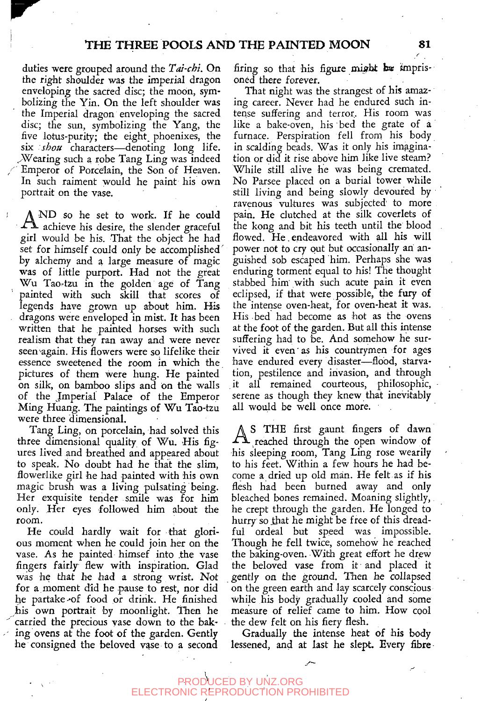duties were grouped around the *Tai-chi.* On the right shoulder was the imperial dragon enveloping the sacred disc; the moon, symbolizing the Yin. On the left shoulder was the Imperial dragon enveloping the sacred disc; the sun, symbolizing the Yang, the five lotus-purity; the eight phoenixes, the six *:shou* characters—denoting long life. .^Wearing such a robe Tang Ling was indeed Emperor of Porcelain, the Son of Heaven. In such raiment would he paint his own portrait on the vase.

ND so he set to work. If he could  $A$  achieve his desire, the slender graceful girl would be his. That the object he had set for himself could only be accomplished' by alchemy and a large measure of magic was of little purport. Had not the great Wu Tao-tzu in the golden age of Tang painted with such skill that scores of legends have grown up about him. His dragons were enveloped in mist. It has been written that he painted horses with such realism that they ran away and were never seen again. His flowers were so lifelike their essence sweetened the room in which the pictures of them were himg. He painted on silk, on bamboo slips and on the walls of the Jmperial Palace of the Emperor Ming Huang. The paintings of Wu Tao-tzu were three dimensional.

Tang Ling, on porcelain, had solved this three dimensional quality of Wu. His figures lived and breathed and appeared about to speak. No doubt had he that the slim, flowerlike girl he had painted with his own magic brush was a living pulsating being. Her exquisite tender smile was for him only. Her eyes followed him about the room.

He could hardly wait for that glorious moment when he could join her on the vase. As he painted himsef into the vase fingers fairly flew with inspiration. Glad was he that he had a strong wrist. Not for a moment did he pause to rest, nor did he partake-of food or drink. He finished his own portrait by moonlight. Then he carried the precious vase down to the baking ovens at the foot of the garden. Gently he consigned the beloved vase to a second

firing so that his figure might be imprisoned there forever.

That night was the strangest of his amazing career. Never had he endured such intense suffering and terror. His room was like a bake-oven, his bed the grate of a furnace. Perspiration fell from his body in scalding beads. Was it only his imagination or did it rise above him like live steam? While still alive he was being cremated. No Parsee placed on a burial tower while still living and being slowly devoured by ravenous vultures was subjected' to more pain. He clutched at the silk coverlets of the kong and bit his teeth until the blood flowed. He endeavored with all his will power not to cry out but occasionally an anguished sob escaped him. Perhaps she was enduring torment equal to his! The thought stabbed him' with such acute pain it even eclipsed, if that were possible, the fury of the intense oven-heat, for oven-heat it was. His bed had become as hot as the ovens at the foot of the garden. But all this intense suffering had to be. And somehow he survived it even' as his countrymen for ages have endured every disaster—flood, starvation, pestilence and invasion, and through it all remained courteous, philosophic, serene as though they knew that inevitably all would be well once more.

S THE first gaunt fingers of dawn  $T_{\text{R}}$  reached through the open window of his sleeping room, Tang Ling rose wearily to his feet. Within a few hours he had become a dried up old man. He felt as if his flesh had been burned away and only bleached bones remained. Moaning slightly, he crept through the garden. He longed to hurry so that he might be free of this dreadful ordeal but speed was impossible. Though he fell twice, somehow he reached the baking-oven. With great effort he drew the beloved vase from it and placed it gently on the ground. Then he collapsed on the green earth and lay scarcely conscious while his body gradually cooled and some measure of relief came to him. How cool the dew felt on his fiery flesh.

Gradually the intense heat of his body lessened, and at last he slept. Every fibre

# PRODUCED BY UNZ.ORG ELECTRONIC REPRODUCTION PROHIBITED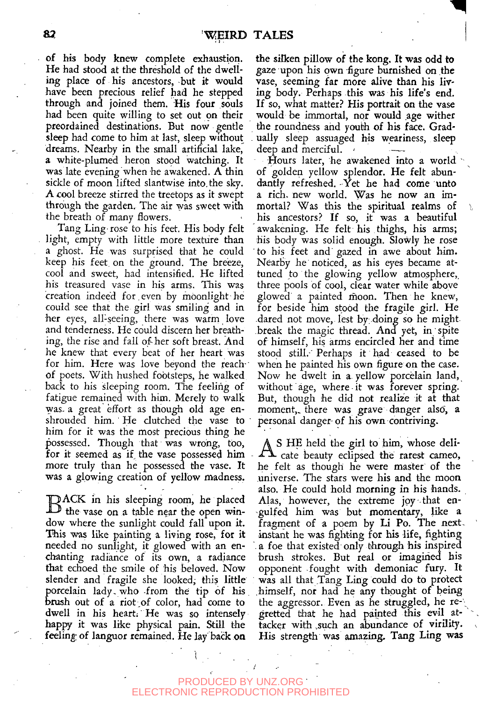of his body knew complete exhaustion. He had stood at the threshold of the dwelling place of his ancestors, but it would have been precious relief had he stepped through and joined them. His four souls had been quite willing to set out on their preordained destinations. But now gentle sleep had come to him at last, sleep without dreams. Nearby in the small artificial lake, a white-plumed heron stood watching. It was late evening when he awakened. A thin sickle of moon lifted slantwise into, the sky. A cool breeze stirred the treetops as it swept through the garden. The air was sweet with the breath of many flowers.

Tang Ling- rose to his feet. His body felt light, empty with little more texture than a ghost. He was surprised that he could keep his feet on the ground. The breeze, cool and sweet, had intensified. He lifted his treasured vase in his arms. This was creation indeed for.even by moonlight he could see that the girl was smiling and in her eyes, all-seeing, there was warm love and tenderness. He could discern her breathing, the rise and fall of-her soft breast. And he knew that every beat of her heart was for him. Here was love beyond the reachof poets. With hushed footsteps, he walked back to his sleeping room. The feeling of fatigue remained with him. Merely to walk was. a great effort as though old age enshrouded him. He clutched the vase to him for it was the most precious thing he possessed. Though that was wrong, too, for it seemed as if the vase possessed him more truly than he possessed the vase. It was a glowing creation of yellow madness.

BACK in his sleeping room, he placed<br>the vase on a table near the open winthe vase on a table near the open window where the sunlight could fall upon it. This was like painting a living rose, for it needed no sunlight, it glowed with an enchanting radiance of its own, a radiance that echoed the smile of his beloved. Now slender and fragile she looked, this little porcelain lady, who from the tip of his brush out of a riot of color, had come to dwell in his heart; He was so intensely happy it was like physical pain. Still the feeling; of languor remained. He lay back on

the silken pillow of the kong. It was odd to gaze upon his own figure burnished on the vase, seeming far more alive than his living body. Perhaps this was his life's end. If so, what matter? His portrait on the vase would be immortal, nor would age wither the roundness and youth of his face. Gradually sleep assuaged his weariness, sleep deep and merciful.

Hours later, he awakened into a world of golden yellow splendor. He felt abundantly refreshed. Yet he had come unto a rich, new world. Was he now an immortal? Was this the spiritual realms of his ancestors? If so, it was a beautiful awakening. He felt his thighs, his arms; his body was solid enough. Slowly he rose to his feet and gazed in awe about him. Nearby he noticed, as his eyes became attuned to the glowing yellow atmosphere, three pools of cool, clear water while above glowed a painted moon. Then he knew, for beside him stood the fragile girl. He -dared not move, lest by; doing so he might break the magic thread. And yet, in spite of himself, his arms encircled her and time stood still.- Perhaps it had ceased to be when he painted his own figure on the case. Now he dwelt in a yellow porcelain land, without age, where it was forever spring. But, though he did not realize it at that moment, there was grave danger also, a personal danger-of his own contriving.

 $\bm{\mathcal{A}}$ S HE held the girl to him, whose delicate beauty eclipsed the rarest cameo, he felt as though he were master of the universe. The stars were his and the moon also. He could hold morning in his hands. Alas, however, the extreme joy- that engulfed him was but momentary, like a fragment of a poem by Li Po. The next, instant he was fighting for his life, fighting . a foe that existed only through his inspired brush strokes. But real or imagined his opponent fought with demoniac fury. It was all that Tang Ling could do to protect himself, nor had he any thought of being the aggressor. Even as he struggled, he regretted that he had painted this evil attacker with ,such an abundance of virility. His strength was amazing. Tang Ling **was**